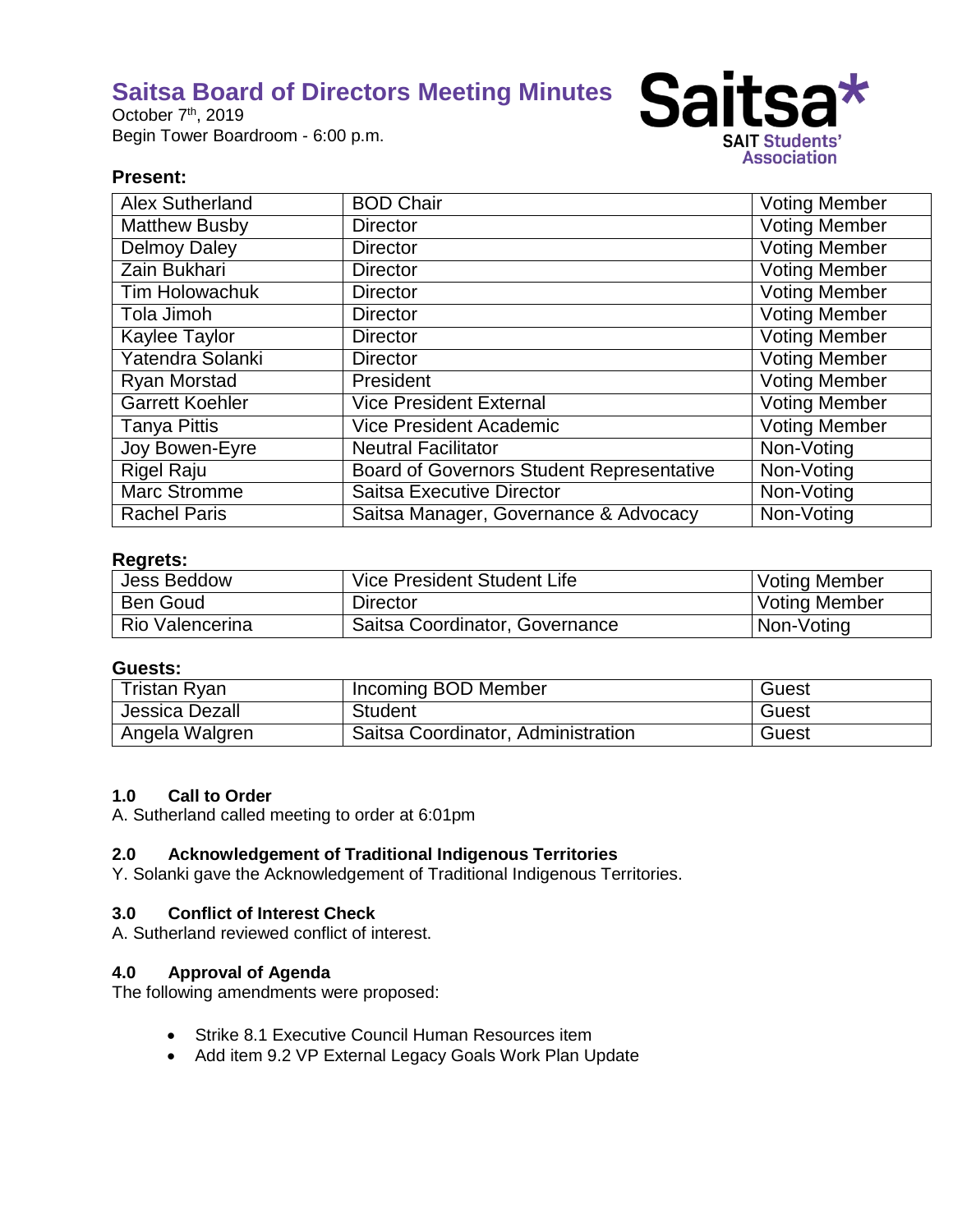October 7<sup>th</sup>, 2019 Begin Tower Boardroom - 6:00 p.m.



## **Present:**

| Alex Sutherland        | <b>BOD Chair</b>                                 | <b>Voting Member</b> |
|------------------------|--------------------------------------------------|----------------------|
| <b>Matthew Busby</b>   | <b>Director</b>                                  | <b>Voting Member</b> |
| <b>Delmoy Daley</b>    | <b>Director</b>                                  | <b>Voting Member</b> |
| Zain Bukhari           | <b>Director</b>                                  | <b>Voting Member</b> |
| <b>Tim Holowachuk</b>  | <b>Director</b>                                  | <b>Voting Member</b> |
| Tola Jimoh             | <b>Director</b>                                  | <b>Voting Member</b> |
| Kaylee Taylor          | <b>Director</b>                                  | <b>Voting Member</b> |
| Yatendra Solanki       | <b>Director</b>                                  | <b>Voting Member</b> |
| <b>Ryan Morstad</b>    | President                                        | <b>Voting Member</b> |
| <b>Garrett Koehler</b> | <b>Vice President External</b>                   | <b>Voting Member</b> |
| <b>Tanya Pittis</b>    | <b>Vice President Academic</b>                   | <b>Voting Member</b> |
| Joy Bowen-Eyre         | <b>Neutral Facilitator</b>                       | Non-Voting           |
| <b>Rigel Raju</b>      | <b>Board of Governors Student Representative</b> | Non-Voting           |
| <b>Marc Stromme</b>    | <b>Saitsa Executive Director</b>                 | Non-Voting           |
| <b>Rachel Paris</b>    | Saitsa Manager, Governance & Advocacy            | Non-Voting           |

#### **Regrets:**

| Jess Beddow     | Vice President Student Life    | <b>Voting Member</b> |
|-----------------|--------------------------------|----------------------|
| <b>Ben Goud</b> | <b>Director</b>                | <b>Voting Member</b> |
| Rio Valencerina | Saitsa Coordinator, Governance | Non-Voting           |

## **Guests:**

| Tristan Ryan   | Incoming BOD Member                | Guest |
|----------------|------------------------------------|-------|
| Jessica Dezall | Student                            | Guest |
| Angela Walgren | Saitsa Coordinator, Administration | Guest |

## **1.0 Call to Order**

A. Sutherland called meeting to order at 6:01pm

#### **2.0 Acknowledgement of Traditional Indigenous Territories**

Y. Solanki gave the Acknowledgement of Traditional Indigenous Territories.

#### **3.0 Conflict of Interest Check**

A. Sutherland reviewed conflict of interest.

#### **4.0 Approval of Agenda**

The following amendments were proposed:

- Strike 8.1 Executive Council Human Resources item
- Add item 9.2 VP External Legacy Goals Work Plan Update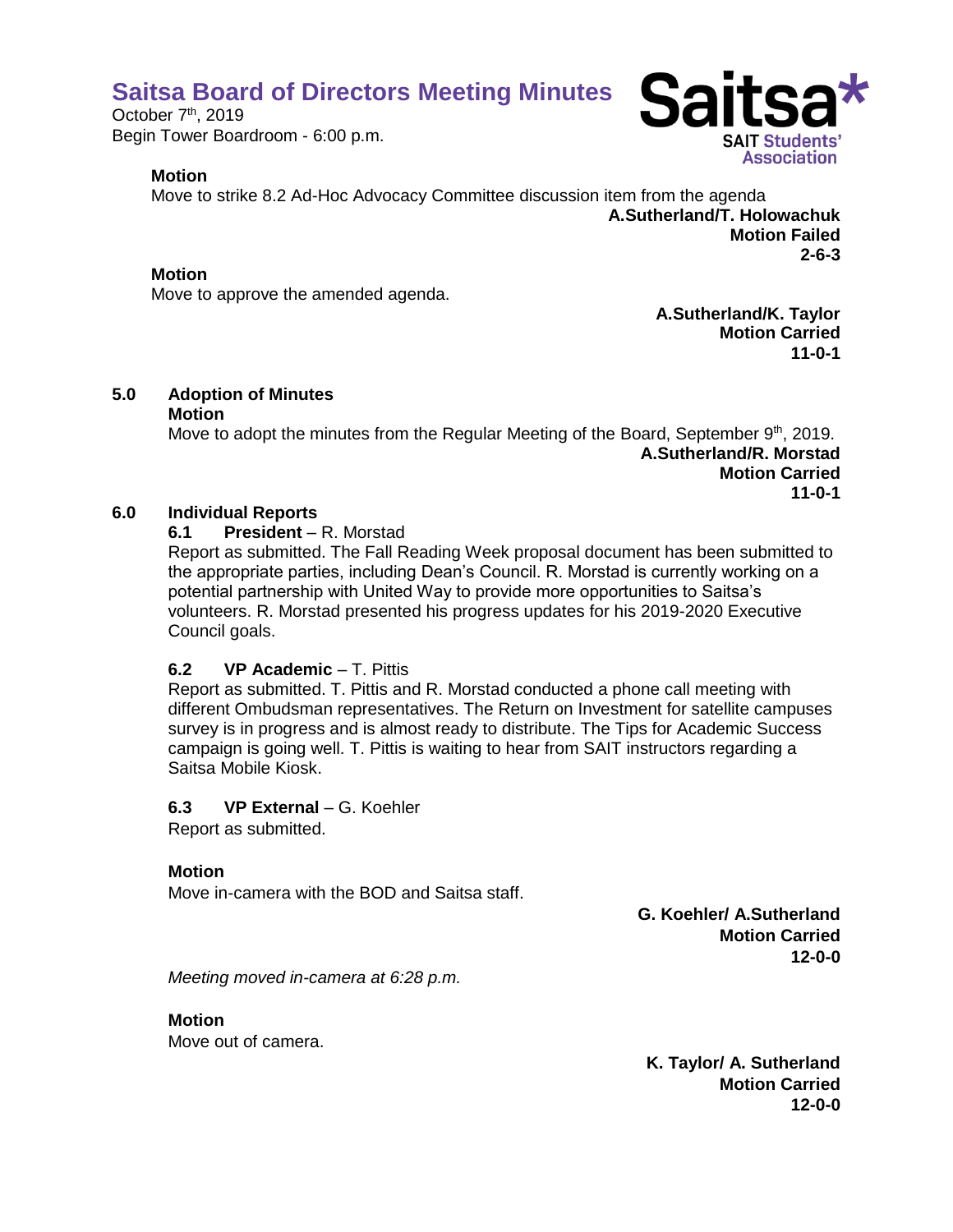October 7<sup>th</sup>, 2019 Begin Tower Boardroom - 6:00 p.m.

## **Motion**

Move to strike 8.2 Ad-Hoc Advocacy Committee discussion item from the agenda **A.Sutherland/T. Holowachuk Motion Failed 2-6-3**

## **Motion**

Move to approve the amended agenda.

**A.Sutherland/K. Taylor Motion Carried 11-0-1**

## **5.0 Adoption of Minutes**

#### **Motion**

Move to adopt the minutes from the Regular Meeting of the Board, September  $9<sup>th</sup>$ , 2019. **A.Sutherland/R. Morstad Motion Carried 11-0-1**

## **6.0 Individual Reports**

**6.1 President** – R. Morstad

Report as submitted. The Fall Reading Week proposal document has been submitted to the appropriate parties, including Dean's Council. R. Morstad is currently working on a potential partnership with United Way to provide more opportunities to Saitsa's volunteers. R. Morstad presented his progress updates for his 2019-2020 Executive Council goals.

## **6.2 VP Academic** – T. Pittis

Report as submitted. T. Pittis and R. Morstad conducted a phone call meeting with different Ombudsman representatives. The Return on Investment for satellite campuses survey is in progress and is almost ready to distribute. The Tips for Academic Success campaign is going well. T. Pittis is waiting to hear from SAIT instructors regarding a Saitsa Mobile Kiosk.

## **6.3 VP External** – G. Koehler

Report as submitted.

## **Motion**

Move in-camera with the BOD and Saitsa staff.

**G. Koehler/ A.Sutherland Motion Carried 12-0-0**

*Meeting moved in-camera at 6:28 p.m.*

**Motion** Move out of camera.

> **K. Taylor/ A. Sutherland Motion Carried 12-0-0**

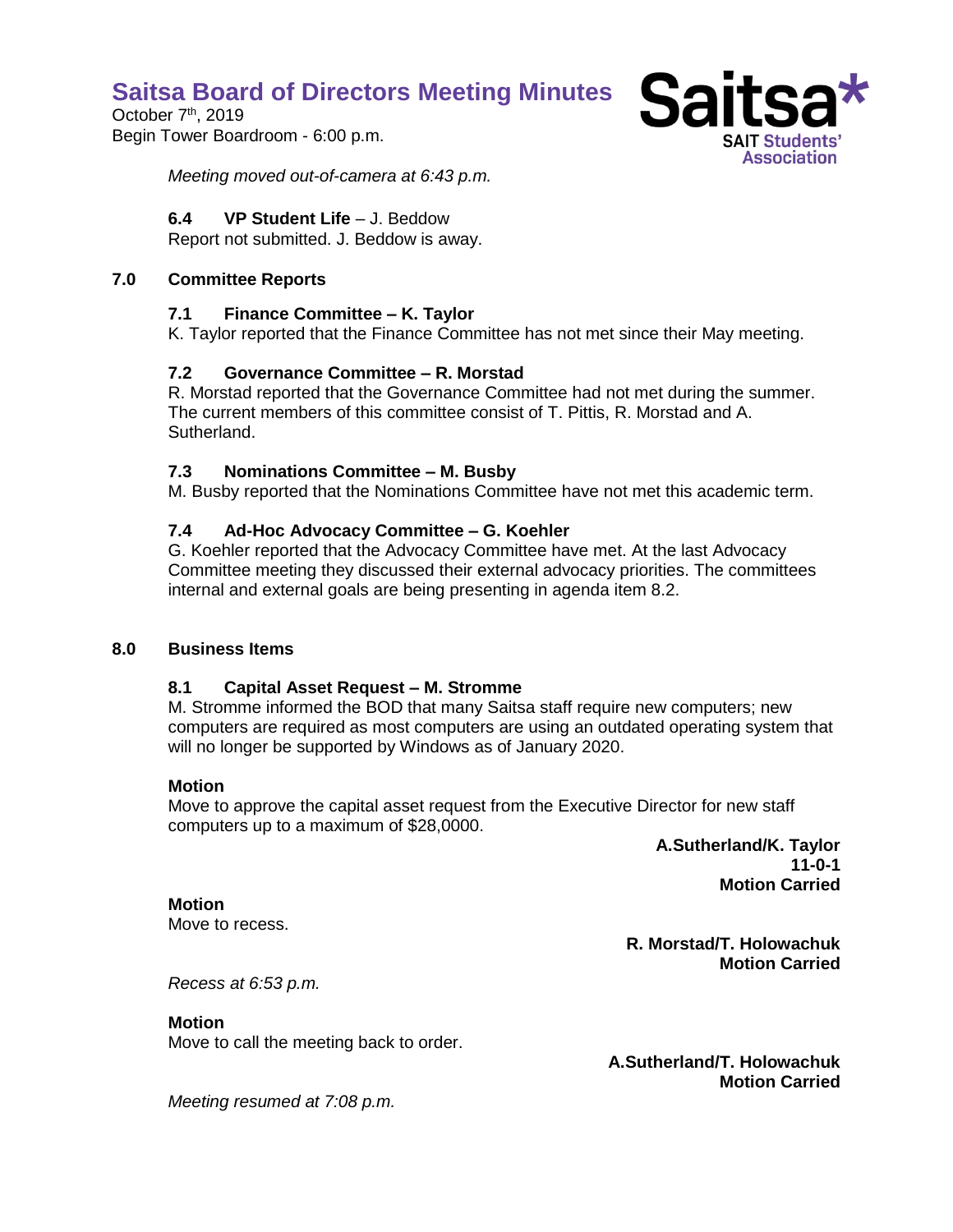October 7<sup>th</sup>, 2019 Begin Tower Boardroom - 6:00 p.m.



*Meeting moved out-of-camera at 6:43 p.m.*

## **6.4 VP Student Life** – J. Beddow

Report not submitted. J. Beddow is away.

## **7.0 Committee Reports**

## **7.1 Finance Committee – K. Taylor**

K. Taylor reported that the Finance Committee has not met since their May meeting.

## **7.2 Governance Committee – R. Morstad**

R. Morstad reported that the Governance Committee had not met during the summer. The current members of this committee consist of T. Pittis, R. Morstad and A. Sutherland.

#### **7.3 Nominations Committee – M. Busby**

M. Busby reported that the Nominations Committee have not met this academic term.

## **7.4 Ad-Hoc Advocacy Committee – G. Koehler**

G. Koehler reported that the Advocacy Committee have met. At the last Advocacy Committee meeting they discussed their external advocacy priorities. The committees internal and external goals are being presenting in agenda item 8.2.

#### **8.0 Business Items**

#### **8.1 Capital Asset Request – M. Stromme**

M. Stromme informed the BOD that many Saitsa staff require new computers; new computers are required as most computers are using an outdated operating system that will no longer be supported by Windows as of January 2020.

#### **Motion**

Move to approve the capital asset request from the Executive Director for new staff computers up to a maximum of \$28,0000.

> **A.Sutherland/K. Taylor 11-0-1 Motion Carried**

**Motion** Move to recess.

> **R. Morstad/T. Holowachuk Motion Carried**

*Recess at 6:53 p.m.*

**Motion** Move to call the meeting back to order.

**A.Sutherland/T. Holowachuk Motion Carried**

*Meeting resumed at 7:08 p.m.*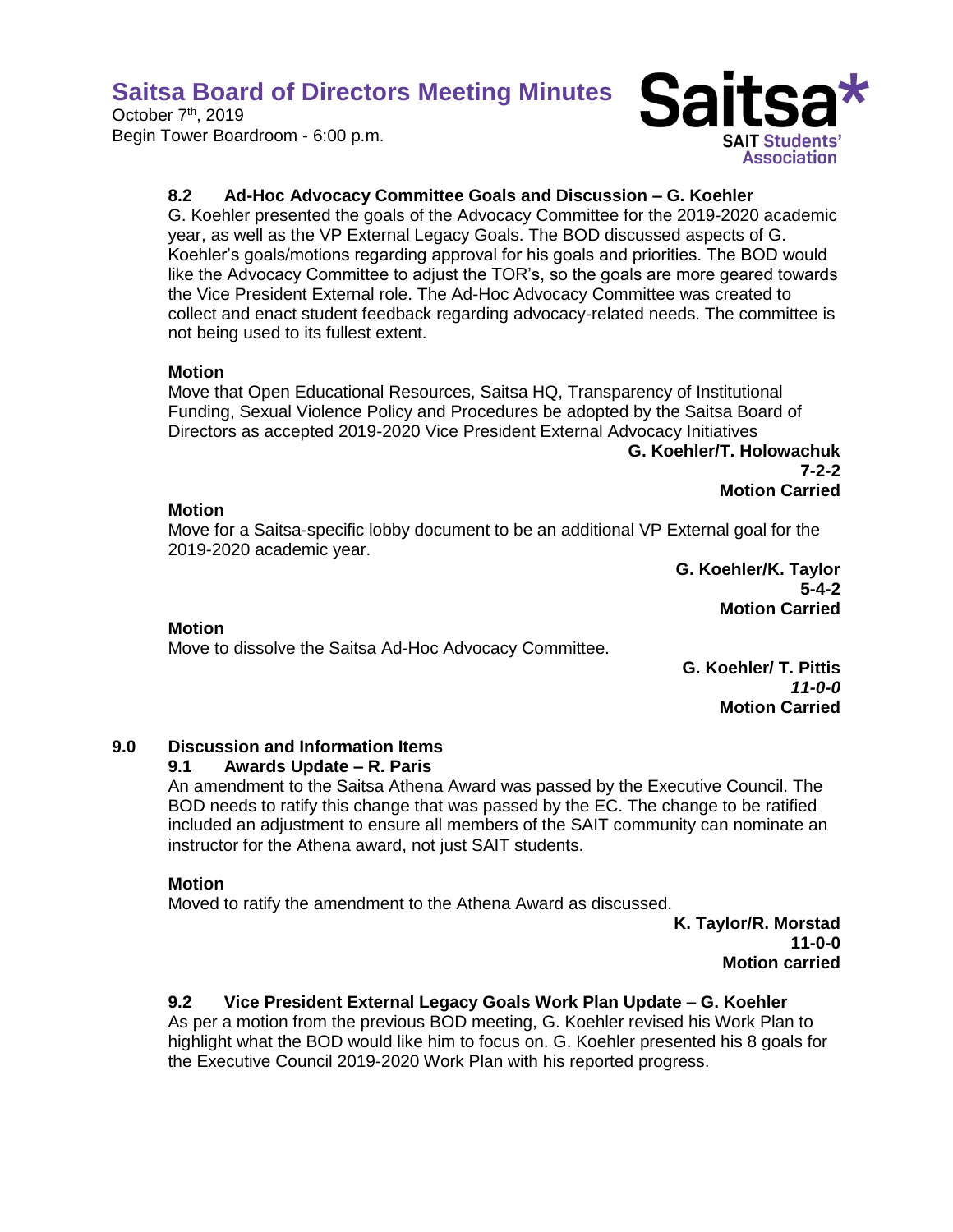October 7<sup>th</sup>, 2019 Begin Tower Boardroom - 6:00 p.m.



## **8.2 Ad-Hoc Advocacy Committee Goals and Discussion – G. Koehler**

G. Koehler presented the goals of the Advocacy Committee for the 2019-2020 academic year, as well as the VP External Legacy Goals. The BOD discussed aspects of G. Koehler's goals/motions regarding approval for his goals and priorities. The BOD would like the Advocacy Committee to adjust the TOR's, so the goals are more geared towards the Vice President External role. The Ad-Hoc Advocacy Committee was created to collect and enact student feedback regarding advocacy-related needs. The committee is not being used to its fullest extent.

#### **Motion**

Move that Open Educational Resources, Saitsa HQ, Transparency of Institutional Funding, Sexual Violence Policy and Procedures be adopted by the Saitsa Board of Directors as accepted 2019-2020 Vice President External Advocacy Initiatives

**G. Koehler/T. Holowachuk 7-2-2 Motion Carried**

#### **Motion**

Move for a Saitsa-specific lobby document to be an additional VP External goal for the 2019-2020 academic year.

**G. Koehler/K. Taylor 5-4-2 Motion Carried**

#### **Motion**

Move to dissolve the Saitsa Ad-Hoc Advocacy Committee.

**G. Koehler/ T. Pittis** *11-0-0* **Motion Carried**

## **9.0 Discussion and Information Items**

## **9.1 Awards Update – R. Paris**

An amendment to the Saitsa Athena Award was passed by the Executive Council. The BOD needs to ratify this change that was passed by the EC. The change to be ratified included an adjustment to ensure all members of the SAIT community can nominate an instructor for the Athena award, not just SAIT students.

#### **Motion**

Moved to ratify the amendment to the Athena Award as discussed.

**K. Taylor/R. Morstad 11-0-0 Motion carried**

## **9.2 Vice President External Legacy Goals Work Plan Update – G. Koehler**

As per a motion from the previous BOD meeting, G. Koehler revised his Work Plan to highlight what the BOD would like him to focus on. G. Koehler presented his 8 goals for the Executive Council 2019-2020 Work Plan with his reported progress.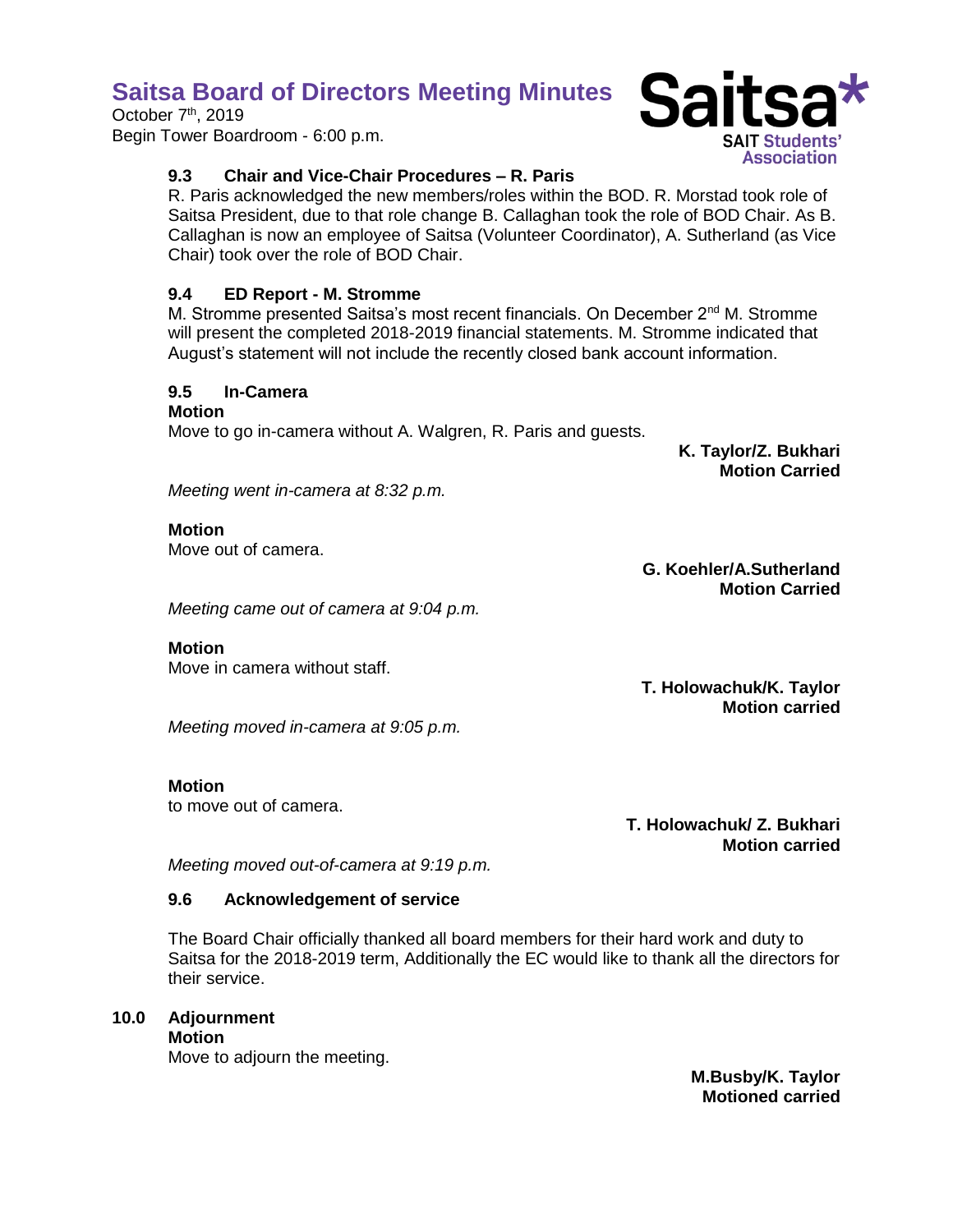October 7<sup>th</sup>, 2019 Begin Tower Boardroom - 6:00 p.m.



## **9.3 Chair and Vice-Chair Procedures – R. Paris**

R. Paris acknowledged the new members/roles within the BOD. R. Morstad took role of Saitsa President, due to that role change B. Callaghan took the role of BOD Chair. As B. Callaghan is now an employee of Saitsa (Volunteer Coordinator), A. Sutherland (as Vice Chair) took over the role of BOD Chair.

## **9.4 ED Report - M. Stromme**

M. Stromme presented Saitsa's most recent financials. On December  $2<sup>nd</sup>$  M. Stromme will present the completed 2018-2019 financial statements. M. Stromme indicated that August's statement will not include the recently closed bank account information.

## **9.5 In-Camera**

#### **Motion**

Move to go in-camera without A. Walgren, R. Paris and guests.

**K. Taylor/Z. Bukhari Motion Carried**

*Meeting went in-camera at 8:32 p.m.*

#### **Motion**

Move out of camera.

**G. Koehler/A.Sutherland Motion Carried**

*Meeting came out of camera at 9:04 p.m.*

## **Motion**

Move in camera without staff.

**T. Holowachuk/K. Taylor Motion carried**

*Meeting moved in-camera at 9:05 p.m.*

## **Motion**

to move out of camera.

**T. Holowachuk/ Z. Bukhari Motion carried**

*Meeting moved out-of-camera at 9:19 p.m.*

## **9.6 Acknowledgement of service**

The Board Chair officially thanked all board members for their hard work and duty to Saitsa for the 2018-2019 term, Additionally the EC would like to thank all the directors for their service.

## **10.0 Adjournment**

**Motion**

Move to adjourn the meeting.

**M.Busby/K. Taylor Motioned carried**